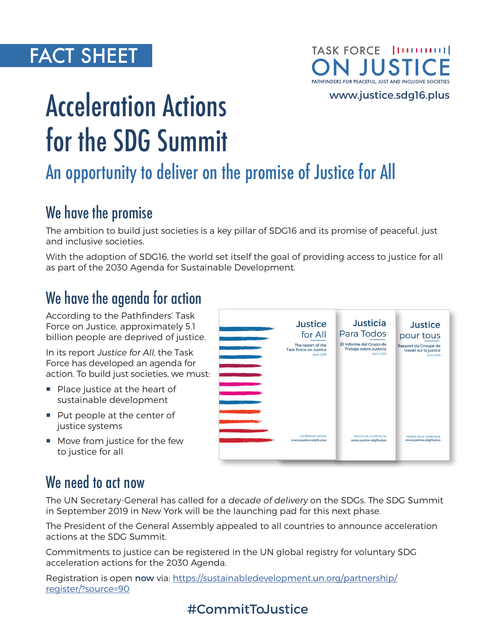# FACT SHEET

#### TASK FORCE | [111111111] **JUST** PATHFINDERS FOR PEACEFUL, JUST AND INCLUSIVE SOCIETIES

[www.justice.sdg16.plus](http://www.justice.sdg16.plus)

# Acceleration Actions for the SDG Summit

# An opportunity to deliver on the promise of Justice for All

# We have the promise

The ambition to build just societies is a key pillar of SDG16 and its promise of peaceful, just and inclusive societies.

With the adoption of SDG16, the world set itself the goal of providing access to justice for all as part of the 2030 Agenda for Sustainable Development.

# We have the agenda for action

According to the Pathfinders' Task Force on Justice, approximately 5.1 billion people are deprived of justice.

In its report Justice for All, the Task Force has developed an agenda for action. To build just societies, we must:

- **Place justice at the heart of** sustainable development
- Put people at the center of justice systems
- **Move from justice for the few** to justice for all

| $\sim$ $\times$ | <b>Justice</b>               | <b>Justicia</b>         | <b>Justice</b>           |
|-----------------|------------------------------|-------------------------|--------------------------|
|                 | for All                      | Para Todos              | pour tous                |
|                 | The report of the            | El Informe del Grupo de | Rapport du Groupe de     |
|                 | <b>Task Force on Justice</b> | Trabajo sobre Justicia  | travail sur la justice   |
|                 | <b>April 2019</b>            | <b>Abril 2019</b>       | <b>Avril 2019</b>        |
|                 | Conference version           | Versión de conferencia  | Version de la conférence |
|                 | www.justice.sdg16.plus       | www.justice.sdq16.plus  | www.justice.sdg16.plus   |

## We need to act now

The UN Secretary-General has called for a decade of delivery on the SDGs. The SDG Summit in September 2019 in New York will be the launching pad for this next phase.

The President of the General Assembly appealed to all countries to announce acceleration actions at the SDG Summit.

Commitments to justice can be registered in the UN global registry for voluntary SDG acceleration actions for the 2030 Agenda.

Registration is open now via: [https://sustainabledevelopment.un.org/partnership/](https://sustainabledevelopment.un.org/partnership/register/?source=90) [register/?source=90](https://sustainabledevelopment.un.org/partnership/register/?source=90)

## #CommitToJustice